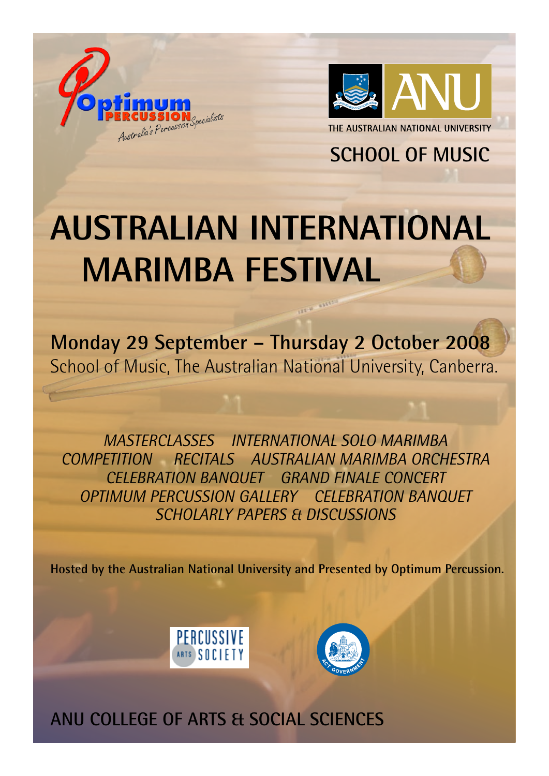



**SCHOOL OF MUSIC** 

## **AUSTRALIAN INTERNATIONAL MARIMBA FESTIVAL**

**Monday 29 September – Thursday 2 October 2008** School of Music, The Australian National University, Canberra.

*MASTERCLASSES INTERNATIONAL SOLO MARIMBA COMPETITION RECITALS AUSTRALIAN MARIMBA ORCHESTRA CELEBRATION BANQUET GRAND FINALE CONCERT OPTIMUM PERCUSSION GALLERY CELEBRATION BANQUET SCHOLARLY PAPERS & DISCUSSIONS*

**Hosted by the Australian National University and Presented by Optimum Percussion.**





**ANU COLLEGE OF ARTS & SOCIAL SCIENCES**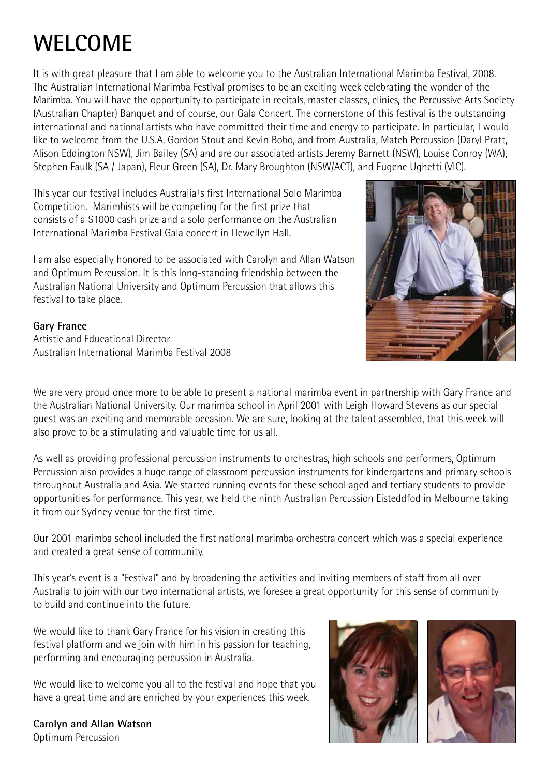## **WELCOME**

It is with great pleasure that I am able to welcome you to the Australian International Marimba Festival, 2008. The Australian International Marimba Festival promises to be an exciting week celebrating the wonder of the Marimba. You will have the opportunity to participate in recitals, master classes, clinics, the Percussive Arts Society (Australian Chapter) Banquet and of course, our Gala Concert. The cornerstone of this festival is the outstanding international and national artists who have committed their time and energy to participate. In particular, I would like to welcome from the U.S.A. Gordon Stout and Kevin Bobo, and from Australia, Match Percussion (Daryl Pratt, Alison Eddington NSW), Jim Bailey (SA) and are our associated artists Jeremy Barnett (NSW), Louise Conroy (WA), Stephen Faulk (SA / Japan), Fleur Green (SA), Dr. Mary Broughton (NSW/ACT), and Eugene Ughetti (VIC).

This year our festival includes Australia<sup>1</sup>s first International Solo Marimba Competition. Marimbists will be competing for the first prize that consists of a \$1000 cash prize and a solo performance on the Australian International Marimba Festival Gala concert in Llewellyn Hall.

I am also especially honored to be associated with Carolyn and Allan Watson and Optimum Percussion. It is this long-standing friendship between the Australian National University and Optimum Percussion that allows this festival to take place.

#### **Gary France**

Artistic and Educational Director Australian International Marimba Festival 2008

We are very proud once more to be able to present a national marimba event in partnership with Gary France and the Australian National University. Our marimba school in April 2001 with Leigh Howard Stevens as our special guest was an exciting and memorable occasion. We are sure, looking at the talent assembled, that this week will also prove to be a stimulating and valuable time for us all.

As well as providing professional percussion instruments to orchestras, high schools and performers, Optimum Percussion also provides a huge range of classroom percussion instruments for kindergartens and primary schools throughout Australia and Asia. We started running events for these school aged and tertiary students to provide opportunities for performance. This year, we held the ninth Australian Percussion Eisteddfod in Melbourne taking it from our Sydney venue for the first time.

Our 2001 marimba school included the first national marimba orchestra concert which was a special experience and created a great sense of community.

This year's event is a "Festival" and by broadening the activities and inviting members of staff from all over Australia to join with our two international artists, we foresee a great opportunity for this sense of community to build and continue into the future.

We would like to thank Gary France for his vision in creating this festival platform and we join with him in his passion for teaching, performing and encouraging percussion in Australia.

We would like to welcome you all to the festival and hope that you have a great time and are enriched by your experiences this week.

**Carolyn and Allan Watson** Optimum Percussion





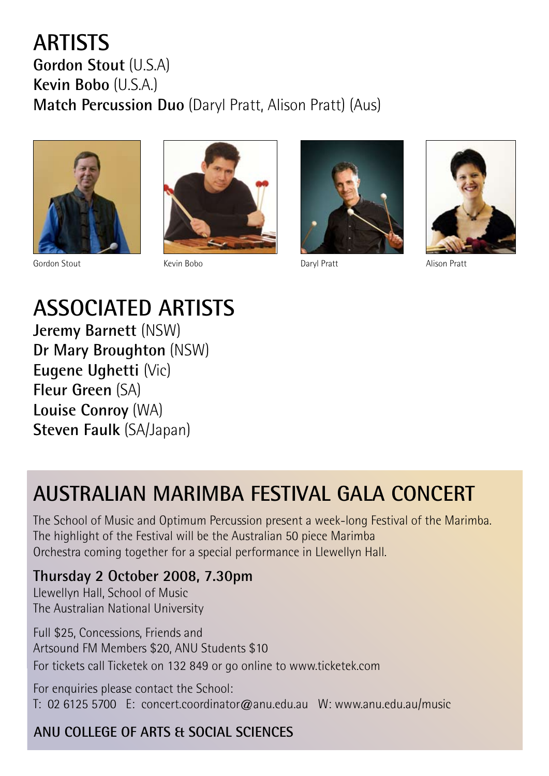#### **ARTISTS Gordon Stout** (U.S.A) **Kevin Bobo** (U.S.A.) **Match Percussion Duo** (Daryl Pratt, Alison Pratt) (Aus)



Gordon Stout Kevin Bobo Daryl Pratt Alison Pratt





**ASSOCIATED ARTISTS Jeremy Barnett** (NSW) **Dr Mary Broughton** (NSW) **Eugene Ughetti** (Vic) **Fleur Green** (SA) **Louise Conroy** (WA) **Steven Faulk** (SA/Japan)

## **AUSTRALIAN MARIMBA FESTIVAL GALA CONCERT**

The School of Music and Optimum Percussion present a week-long Festival of the Marimba. The highlight of the Festival will be the Australian 50 piece Marimba Orchestra coming together for a special performance in Llewellyn Hall.

#### **Thursday 2 October 2008, 7.30pm**

Llewellyn Hall, School of Music The Australian National University

Full \$25, Concessions, Friends and Artsound FM Members \$20, ANU Students \$10 For tickets call Ticketek on 132 849 or go online to www.ticketek.com

For enquiries please contact the School: T: 02 6125 5700 E: concert.coordinator@anu.edu.au W: www.anu.edu.au/music

#### **ANU COLLEGE OF ARTS & SOCIAL SCIENCES**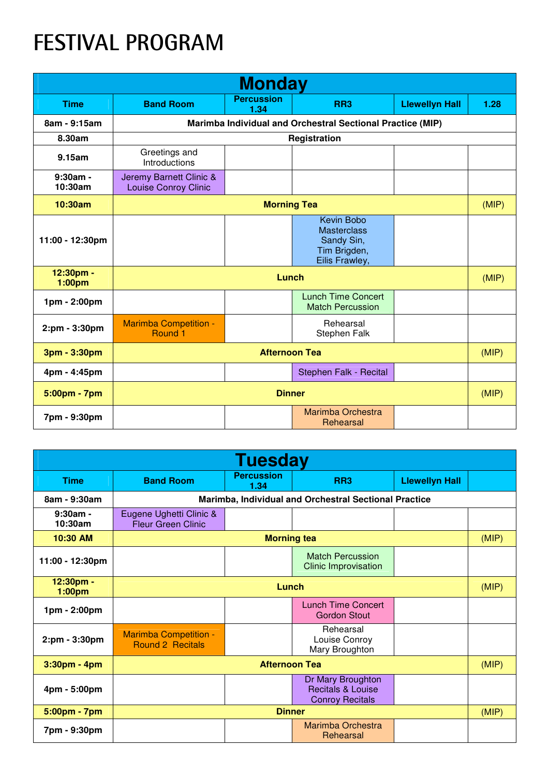## **FESTIVAL PROGRAM**

| <b>Monday</b>         |                                                            |                           |                                                                                         |                       |      |  |
|-----------------------|------------------------------------------------------------|---------------------------|-----------------------------------------------------------------------------------------|-----------------------|------|--|
| <b>Time</b>           | <b>Band Room</b>                                           | <b>Percussion</b><br>1.34 | RR <sub>3</sub>                                                                         | <b>Llewellyn Hall</b> | 1.28 |  |
| 8am - 9:15am          | Marimba Individual and Orchestral Sectional Practice (MIP) |                           |                                                                                         |                       |      |  |
| 8.30am                | Registration                                               |                           |                                                                                         |                       |      |  |
| 9.15am                | Greetings and<br>Introductions                             |                           |                                                                                         |                       |      |  |
| $9:30am -$<br>10:30am | Jeremy Barnett Clinic &<br><b>Louise Conroy Clinic</b>     |                           |                                                                                         |                       |      |  |
| 10:30am               | <b>Morning Tea</b>                                         |                           |                                                                                         | (MIP)                 |      |  |
| 11:00 - 12:30pm       |                                                            |                           | <b>Kevin Bobo</b><br><b>Masterclass</b><br>Sandy Sin,<br>Tim Brigden,<br>Eilis Frawley, |                       |      |  |
| 12:30pm -<br>1:00pm   | Lunch                                                      |                           |                                                                                         | (MIP)                 |      |  |
| 1pm - 2:00pm          |                                                            |                           | <b>Lunch Time Concert</b><br><b>Match Percussion</b>                                    |                       |      |  |
| 2:pm - 3:30pm         | <b>Marimba Competition -</b><br>Round 1                    |                           | Rehearsal<br>Stephen Falk                                                               |                       |      |  |
| 3pm - 3:30pm          | <b>Afternoon Tea</b>                                       |                           |                                                                                         | (MIP)                 |      |  |
| 4pm - 4:45pm          |                                                            |                           | Stephen Falk - Recital                                                                  |                       |      |  |
| 5:00pm - 7pm          | <b>Dinner</b>                                              |                           |                                                                                         | (MIP)                 |      |  |
| 7pm - 9:30pm          |                                                            |                           | Marimba Orchestra<br>Rehearsal                                                          |                       |      |  |

| <b>Tuesday</b>                  |                                                       |                           |                                                                             |                       |  |
|---------------------------------|-------------------------------------------------------|---------------------------|-----------------------------------------------------------------------------|-----------------------|--|
| <b>Time</b>                     | <b>Band Room</b>                                      | <b>Percussion</b><br>1.34 | RR <sub>3</sub>                                                             | <b>Llewellyn Hall</b> |  |
| 8am - 9:30am                    | Marimba, Individual and Orchestral Sectional Practice |                           |                                                                             |                       |  |
| $9:30$ am -<br>10:30am          | Eugene Ughetti Clinic &<br><b>Fleur Green Clinic</b>  |                           |                                                                             |                       |  |
| 10:30 AM                        | <b>Morning tea</b>                                    |                           |                                                                             | (MIP)                 |  |
| 11:00 - 12:30pm                 |                                                       |                           | <b>Match Percussion</b><br><b>Clinic Improvisation</b>                      |                       |  |
| 12:30pm -<br>1:00 <sub>pm</sub> | Lunch                                                 |                           |                                                                             | (MIP)                 |  |
| 1pm - 2:00pm                    |                                                       |                           | <b>Lunch Time Concert</b><br><b>Gordon Stout</b>                            |                       |  |
| 2:pm - 3:30pm                   | <b>Marimba Competition -</b><br>Round 2 Recitals      |                           | Rehearsal<br>Louise Conroy<br>Mary Broughton                                |                       |  |
| 3:30pm - 4pm                    | <b>Afternoon Tea</b>                                  |                           |                                                                             | (MIP)                 |  |
| 4pm - 5:00pm                    |                                                       |                           | Dr Mary Broughton<br><b>Recitals &amp; Louise</b><br><b>Conroy Recitals</b> |                       |  |
| 5:00pm - 7pm                    | <b>Dinner</b>                                         |                           |                                                                             | (MIP)                 |  |
| 7pm - 9:30pm                    |                                                       |                           | Marimba Orchestra<br>Rehearsal                                              |                       |  |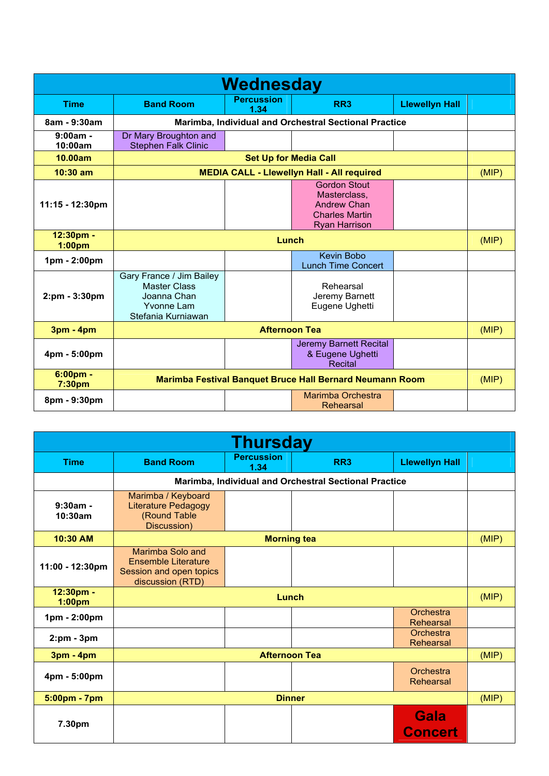| Wednesday                       |                                                                                                           |                           |                                                                                                            |                       |  |  |
|---------------------------------|-----------------------------------------------------------------------------------------------------------|---------------------------|------------------------------------------------------------------------------------------------------------|-----------------------|--|--|
| <b>Time</b>                     | <b>Band Room</b>                                                                                          | <b>Percussion</b><br>1.34 | RR <sub>3</sub>                                                                                            | <b>Llewellyn Hall</b> |  |  |
| 8am - 9:30am                    |                                                                                                           |                           | Marimba, Individual and Orchestral Sectional Practice                                                      |                       |  |  |
| $9:00am -$<br>10:00am           | Dr Mary Broughton and<br><b>Stephen Falk Clinic</b>                                                       |                           |                                                                                                            |                       |  |  |
| 10.00am                         | <b>Set Up for Media Call</b>                                                                              |                           |                                                                                                            |                       |  |  |
| $10:30$ am                      | <b>MEDIA CALL - Llewellyn Hall - All required</b>                                                         |                           |                                                                                                            | (MIP)                 |  |  |
| $11:15 - 12:30 \text{pm}$       |                                                                                                           |                           | <b>Gordon Stout</b><br>Masterclass,<br><b>Andrew Chan</b><br><b>Charles Martin</b><br><b>Ryan Harrison</b> |                       |  |  |
| 12:30pm -<br>1:00 <sub>pm</sub> | <b>Lunch</b>                                                                                              |                           |                                                                                                            | (MIP)                 |  |  |
| 1pm - 2:00pm                    |                                                                                                           |                           | <b>Kevin Bobo</b><br><b>Lunch Time Concert</b>                                                             |                       |  |  |
| 2:pm - 3:30pm                   | Gary France / Jim Bailey<br><b>Master Class</b><br>Joanna Chan<br><b>Yvonne Lam</b><br>Stefania Kurniawan |                           | Rehearsal<br>Jeremy Barnett<br>Eugene Ughetti                                                              |                       |  |  |
| 3pm - 4pm                       | <b>Afternoon Tea</b>                                                                                      |                           |                                                                                                            | (MIP)                 |  |  |
| 4pm - 5:00pm                    |                                                                                                           |                           | <b>Jeremy Barnett Recital</b><br>& Eugene Ughetti<br><b>Recital</b>                                        |                       |  |  |
| $6:00pm$ .<br>7:30pm            | <b>Marimba Festival Banquet Bruce Hall Bernard Neumann Room</b>                                           |                           |                                                                                                            | (MIP)                 |  |  |
| 8pm - 9:30pm                    |                                                                                                           |                           | Marimba Orchestra<br>Rehearsal                                                                             |                       |  |  |

| <b>Thursday</b>                 |                                                                                               |                           |                 |                               |  |
|---------------------------------|-----------------------------------------------------------------------------------------------|---------------------------|-----------------|-------------------------------|--|
| <b>Time</b>                     | <b>Band Room</b>                                                                              | <b>Percussion</b><br>1.34 | RR <sub>3</sub> | <b>Llewellyn Hall</b>         |  |
|                                 | Marimba, Individual and Orchestral Sectional Practice                                         |                           |                 |                               |  |
| $9:30am -$<br>10:30am           | Marimba / Keyboard<br><b>Literature Pedagogy</b><br>(Round Table<br>Discussion)               |                           |                 |                               |  |
| 10:30 AM                        | <b>Morning tea</b>                                                                            |                           |                 | (MIP)                         |  |
| 11:00 - 12:30pm                 | Marimba Solo and<br><b>Ensemble Literature</b><br>Session and open topics<br>discussion (RTD) |                           |                 |                               |  |
| 12:30pm -<br>1:00 <sub>pm</sub> | Lunch                                                                                         |                           |                 | (MIP)                         |  |
| 1pm - 2:00pm                    |                                                                                               |                           |                 | Orchestra<br>Rehearsal        |  |
| $2:pm - 3pm$                    |                                                                                               |                           |                 | Orchestra<br>Rehearsal        |  |
| <b>3pm - 4pm</b>                | <b>Afternoon Tea</b>                                                                          |                           |                 | (MIP)                         |  |
| 4pm - 5:00pm                    |                                                                                               |                           |                 | Orchestra<br>Rehearsal        |  |
| 5:00pm - 7pm                    | <b>Dinner</b>                                                                                 |                           |                 | (MIP)                         |  |
| 7.30pm                          |                                                                                               |                           |                 | <b>Gala</b><br><b>Concert</b> |  |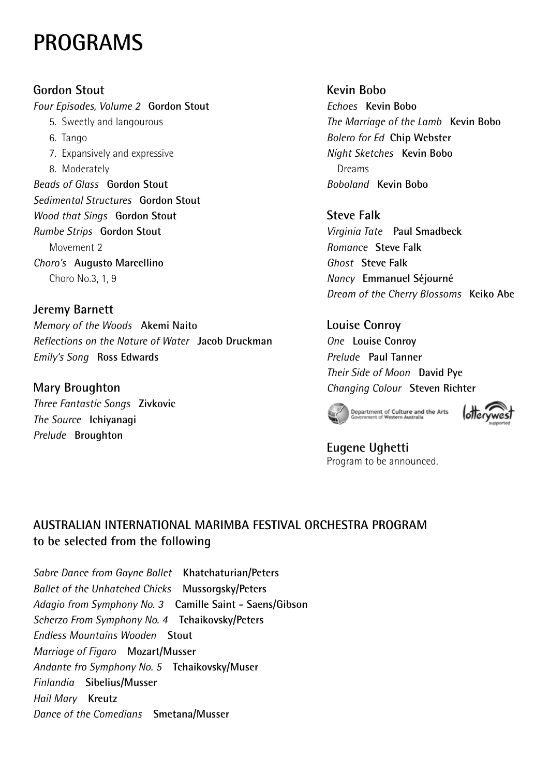### **PROGRAMS**

**Gordon Stout** *Four Episodes, Volume 2* **Gordon Stout** 5. Sweetly and langourous 6. Tango 7. Expansively and expressive 8. Moderately *Beads of Glass* **Gordon Stout** *Sedimental Structures* **Gordon Stout** *Wood that Sings* **Gordon Stout** *Rumbe Strips* **Gordon Stout** Movement 2 *Choro's* **Augusto Marcellino** Choro No.3, 1, 9

**Jeremy Barnett** *Memory of the Woods* **Akemi Naito** *Reflections on the Nature of Water* **Jacob Druckman** *Emily's Song* **Ross Edwards**

**Mary Broughton**  *Three Fantastic Songs* **Zivkovic** *The Source* **Ichiyanagi** *Prelude* **Broughton**

**Kevin Bobo** *Echoes* **Kevin Bobo**  *The Marriage of the Lamb* **Kevin Bobo** *Bolero for Ed* **Chip Webster** *Night Sketches* **Kevin Bobo** Dreams *Boboland* **Kevin Bobo**

**Steve Falk** *Virginia Tate* **Paul Smadbeck**  *Romance* **Steve Falk**  *Ghost* **Steve Falk** *Nancy* **Emmanuel Séjourné** *Dream of the Cherry Blossoms* **Keiko Abe**

**Louise Conroy** *One* **Louise Conroy** *Prelude* **Paul Tanner** *Their Side of Moon* **David Pye** *Changing Colour* **Steven Richter**





**Eugene Ughetti** Program to be announced.

#### **AUSTRALIAN INTERNATIONAL MARIMBA FESTIVAL ORCHESTRA PROGRAM to be selected from the following**

*Sabre Dance from Gayne Ballet* **Khatchaturian/Peters** *Ballet of the Unhatched Chicks* **Mussorgsky/Peters** *Adagio from Symphony No. 3* **Camille Saint - Saens/Gibson** *Scherzo From Symphony No. 4* **Tchaikovsky/Peters**  *Endless Mountains Wooden* **Stout** *Marriage of Figaro* **Mozart/Musser** *Andante fro Symphony No. 5* **Tchaikovsky/Muser** *Finlandia* **Sibelius/Musser** *Hail Mary* **Kreutz** *Dance of the Comedians* **Smetana/Musser**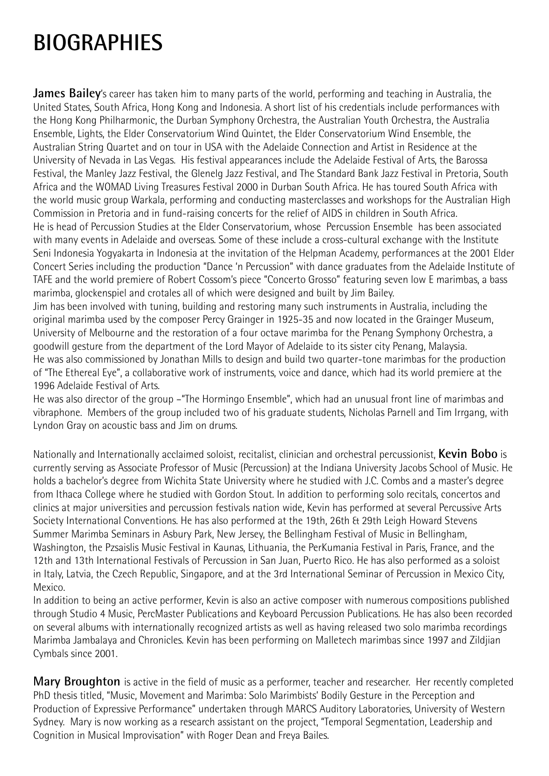## **BIOGRAPHIES**

**James Bailey**'s career has taken him to many parts of the world, performing and teaching in Australia, the United States, South Africa, Hong Kong and Indonesia. A short list of his credentials include performances with the Hong Kong Philharmonic, the Durban Symphony Orchestra, the Australian Youth Orchestra, the Australia Ensemble, Lights, the Elder Conservatorium Wind Quintet, the Elder Conservatorium Wind Ensemble, the Australian String Quartet and on tour in USA with the Adelaide Connection and Artist in Residence at the University of Nevada in Las Vegas. His festival appearances include the Adelaide Festival of Arts, the Barossa Festival, the Manley Jazz Festival, the Glenelg Jazz Festival, and The Standard Bank Jazz Festival in Pretoria, South Africa and the WOMAD Living Treasures Festival 2000 in Durban South Africa. He has toured South Africa with the world music group Warkala, performing and conducting masterclasses and workshops for the Australian High Commission in Pretoria and in fund-raising concerts for the relief of AIDS in children in South Africa. He is head of Percussion Studies at the Elder Conservatorium, whose Percussion Ensemble has been associated

with many events in Adelaide and overseas. Some of these include a cross-cultural exchange with the Institute Seni Indonesia Yogyakarta in Indonesia at the invitation of the Helpman Academy, performances at the 2001 Elder Concert Series including the production "Dance 'n Percussion" with dance graduates from the Adelaide Institute of TAFE and the world premiere of Robert Cossom's piece "Concerto Grosso" featuring seven low E marimbas, a bass marimba, glockenspiel and crotales all of which were designed and built by Jim Bailey.

Jim has been involved with tuning, building and restoring many such instruments in Australia, including the original marimba used by the composer Percy Grainger in 1925-35 and now located in the Grainger Museum, University of Melbourne and the restoration of a four octave marimba for the Penang Symphony Orchestra, a goodwill gesture from the department of the Lord Mayor of Adelaide to its sister city Penang, Malaysia. He was also commissioned by Jonathan Mills to design and build two quarter-tone marimbas for the production of "The Ethereal Eye", a collaborative work of instruments, voice and dance, which had its world premiere at the 1996 Adelaide Festival of Arts.

He was also director of the group –"The Hormingo Ensemble", which had an unusual front line of marimbas and vibraphone. Members of the group included two of his graduate students, Nicholas Parnell and Tim Irrgang, with Lyndon Gray on acoustic bass and Jim on drums.

Nationally and Internationally acclaimed soloist, recitalist, clinician and orchestral percussionist, **Kevin Bobo** is currently serving as Associate Professor of Music (Percussion) at the Indiana University Jacobs School of Music. He holds a bachelor's degree from Wichita State University where he studied with J.C. Combs and a master's degree from Ithaca College where he studied with Gordon Stout. In addition to performing solo recitals, concertos and clinics at major universities and percussion festivals nation wide, Kevin has performed at several Percussive Arts Society International Conventions. He has also performed at the 19th, 26th & 29th Leigh Howard Stevens Summer Marimba Seminars in Asbury Park, New Jersey, the Bellingham Festival of Music in Bellingham, Washington, the Pzsaislis Music Festival in Kaunas, Lithuania, the PerKumania Festival in Paris, France, and the 12th and 13th International Festivals of Percussion in San Juan, Puerto Rico. He has also performed as a soloist in Italy, Latvia, the Czech Republic, Singapore, and at the 3rd International Seminar of Percussion in Mexico City, Mexico.

In addition to being an active performer, Kevin is also an active composer with numerous compositions published through Studio 4 Music, PercMaster Publications and Keyboard Percussion Publications. He has also been recorded on several albums with internationally recognized artists as well as having released two solo marimba recordings Marimba Jambalaya and Chronicles. Kevin has been performing on Malletech marimbas since 1997 and Zildjian Cymbals since 2001.

**Mary Broughton** is active in the field of music as a performer, teacher and researcher. Her recently completed PhD thesis titled, "Music, Movement and Marimba: Solo Marimbists' Bodily Gesture in the Perception and Production of Expressive Performance" undertaken through MARCS Auditory Laboratories, University of Western Sydney. Mary is now working as a research assistant on the project, "Temporal Segmentation, Leadership and Cognition in Musical Improvisation" with Roger Dean and Freya Bailes.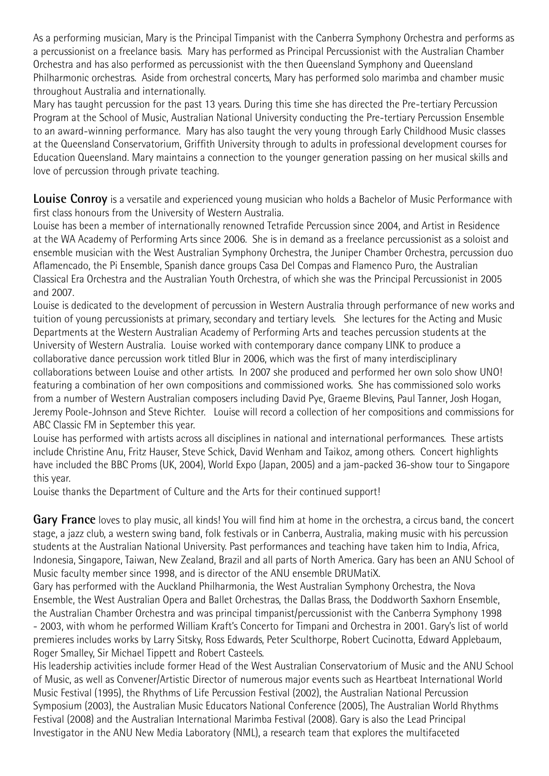As a performing musician, Mary is the Principal Timpanist with the Canberra Symphony Orchestra and performs as a percussionist on a freelance basis. Mary has performed as Principal Percussionist with the Australian Chamber Orchestra and has also performed as percussionist with the then Queensland Symphony and Queensland Philharmonic orchestras. Aside from orchestral concerts, Mary has performed solo marimba and chamber music throughout Australia and internationally.

Mary has taught percussion for the past 13 years. During this time she has directed the Pre-tertiary Percussion Program at the School of Music, Australian National University conducting the Pre-tertiary Percussion Ensemble to an award-winning performance. Mary has also taught the very young through Early Childhood Music classes at the Queensland Conservatorium, Griffith University through to adults in professional development courses for Education Queensland. Mary maintains a connection to the younger generation passing on her musical skills and love of percussion through private teaching.

**Louise Conroy** is a versatile and experienced young musician who holds a Bachelor of Music Performance with first class honours from the University of Western Australia.

Louise has been a member of internationally renowned Tetrafide Percussion since 2004, and Artist in Residence at the WA Academy of Performing Arts since 2006. She is in demand as a freelance percussionist as a soloist and ensemble musician with the West Australian Symphony Orchestra, the Juniper Chamber Orchestra, percussion duo Aflamencado, the Pi Ensemble, Spanish dance groups Casa Del Compas and Flamenco Puro, the Australian Classical Era Orchestra and the Australian Youth Orchestra, of which she was the Principal Percussionist in 2005 and 2007.

Louise is dedicated to the development of percussion in Western Australia through performance of new works and tuition of young percussionists at primary, secondary and tertiary levels. She lectures for the Acting and Music Departments at the Western Australian Academy of Performing Arts and teaches percussion students at the University of Western Australia. Louise worked with contemporary dance company LINK to produce a collaborative dance percussion work titled Blur in 2006, which was the first of many interdisciplinary collaborations between Louise and other artists. In 2007 she produced and performed her own solo show UNO! featuring a combination of her own compositions and commissioned works. She has commissioned solo works from a number of Western Australian composers including David Pye, Graeme Blevins, Paul Tanner, Josh Hogan, Jeremy Poole-Johnson and Steve Richter. Louise will record a collection of her compositions and commissions for ABC Classic FM in September this year.

Louise has performed with artists across all disciplines in national and international performances. These artists include Christine Anu, Fritz Hauser, Steve Schick, David Wenham and Taikoz, among others. Concert highlights have included the BBC Proms (UK, 2004), World Expo (Japan, 2005) and a jam-packed 36-show tour to Singapore this year.

Louise thanks the Department of Culture and the Arts for their continued support!

**Gary France** loves to play music, all kinds! You will find him at home in the orchestra, a circus band, the concert stage, a jazz club, a western swing band, folk festivals or in Canberra, Australia, making music with his percussion students at the Australian National University. Past performances and teaching have taken him to India, Africa, Indonesia, Singapore, Taiwan, New Zealand, Brazil and all parts of North America. Gary has been an ANU School of Music faculty member since 1998, and is director of the ANU ensemble DRUMatiX.

Gary has performed with the Auckland Philharmonia, the West Australian Symphony Orchestra, the Nova Ensemble, the West Australian Opera and Ballet Orchestras, the Dallas Brass, the Doddworth Saxhorn Ensemble, the Australian Chamber Orchestra and was principal timpanist/percussionist with the Canberra Symphony 1998 - 2003, with whom he performed William Kraft's Concerto for Timpani and Orchestra in 2001. Gary's list of world premieres includes works by Larry Sitsky, Ross Edwards, Peter Sculthorpe, Robert Cucinotta, Edward Applebaum, Roger Smalley, Sir Michael Tippett and Robert Casteels.

His leadership activities include former Head of the West Australian Conservatorium of Music and the ANU School of Music, as well as Convener/Artistic Director of numerous major events such as Heartbeat International World Music Festival (1995), the Rhythms of Life Percussion Festival (2002), the Australian National Percussion Symposium (2003), the Australian Music Educators National Conference (2005), The Australian World Rhythms Festival (2008) and the Australian International Marimba Festival (2008). Gary is also the Lead Principal Investigator in the ANU New Media Laboratory (NML), a research team that explores the multifaceted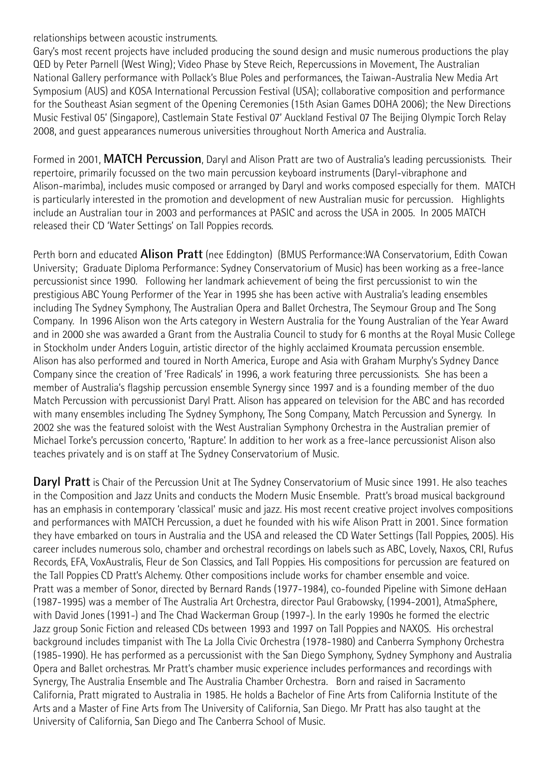#### relationships between acoustic instruments.

Gary's most recent projects have included producing the sound design and music numerous productions the play QED by Peter Parnell (West Wing); Video Phase by Steve Reich, Repercussions in Movement, The Australian National Gallery performance with Pollack's Blue Poles and performances, the Taiwan-Australia New Media Art Symposium (AUS) and KOSA International Percussion Festival (USA); collaborative composition and performance for the Southeast Asian segment of the Opening Ceremonies (15th Asian Games DOHA 2006); the New Directions Music Festival 05' (Singapore), Castlemain State Festival 07' Auckland Festival 07 The Beijing Olympic Torch Relay 2008, and guest appearances numerous universities throughout North America and Australia.

Formed in 2001, **MATCH Percussion**, Daryl and Alison Pratt are two of Australia's leading percussionists. Their repertoire, primarily focussed on the two main percussion keyboard instruments (Daryl-vibraphone and Alison-marimba), includes music composed or arranged by Daryl and works composed especially for them. MATCH is particularly interested in the promotion and development of new Australian music for percussion. Highlights include an Australian tour in 2003 and performances at PASIC and across the USA in 2005. In 2005 MATCH released their CD 'Water Settings' on Tall Poppies records.

Perth born and educated **Alison Pratt** (nee Eddington) (BMUS Performance:WA Conservatorium, Edith Cowan University; Graduate Diploma Performance: Sydney Conservatorium of Music) has been working as a free-lance percussionist since 1990. Following her landmark achievement of being the first percussionist to win the prestigious ABC Young Performer of the Year in 1995 she has been active with Australia's leading ensembles including The Sydney Symphony, The Australian Opera and Ballet Orchestra, The Seymour Group and The Song Company. In 1996 Alison won the Arts category in Western Australia for the Young Australian of the Year Award and in 2000 she was awarded a Grant from the Australia Council to study for 6 months at the Royal Music College in Stockholm under Anders Loguin, artistic director of the highly acclaimed Kroumata percussion ensemble. Alison has also performed and toured in North America, Europe and Asia with Graham Murphy's Sydney Dance Company since the creation of 'Free Radicals' in 1996, a work featuring three percussionists. She has been a member of Australia's flagship percussion ensemble Synergy since 1997 and is a founding member of the duo Match Percussion with percussionist Daryl Pratt. Alison has appeared on television for the ABC and has recorded with many ensembles including The Sydney Symphony, The Song Company, Match Percussion and Synergy. In 2002 she was the featured soloist with the West Australian Symphony Orchestra in the Australian premier of Michael Torke's percussion concerto, 'Rapture'. In addition to her work as a free-lance percussionist Alison also teaches privately and is on staff at The Sydney Conservatorium of Music.

**Daryl Pratt** is Chair of the Percussion Unit at The Sydney Conservatorium of Music since 1991. He also teaches in the Composition and Jazz Units and conducts the Modern Music Ensemble. Pratt's broad musical background has an emphasis in contemporary 'classical' music and jazz. His most recent creative project involves compositions and performances with MATCH Percussion, a duet he founded with his wife Alison Pratt in 2001. Since formation they have embarked on tours in Australia and the USA and released the CD Water Settings (Tall Poppies, 2005). His career includes numerous solo, chamber and orchestral recordings on labels such as ABC, Lovely, Naxos, CRI, Rufus Records, EFA, VoxAustralis, Fleur de Son Classics, and Tall Poppies. His compositions for percussion are featured on the Tall Poppies CD Pratt's Alchemy. Other compositions include works for chamber ensemble and voice. Pratt was a member of Sonor, directed by Bernard Rands (1977-1984), co-founded Pipeline with Simone deHaan (1987-1995) was a member of The Australia Art Orchestra, director Paul Grabowsky, (1994-2001), AtmaSphere, with David Jones (1991-) and The Chad Wackerman Group (1997-). In the early 1990s he formed the electric Jazz group Sonic Fiction and released CDs between 1993 and 1997 on Tall Poppies and NAXOS. His orchestral background includes timpanist with The La Jolla Civic Orchestra (1978-1980) and Canberra Symphony Orchestra (1985-1990). He has performed as a percussionist with the San Diego Symphony, Sydney Symphony and Australia Opera and Ballet orchestras. Mr Pratt's chamber music experience includes performances and recordings with Synergy, The Australia Ensemble and The Australia Chamber Orchestra. Born and raised in Sacramento California, Pratt migrated to Australia in 1985. He holds a Bachelor of Fine Arts from California Institute of the Arts and a Master of Fine Arts from The University of California, San Diego. Mr Pratt has also taught at the University of California, San Diego and The Canberra School of Music.